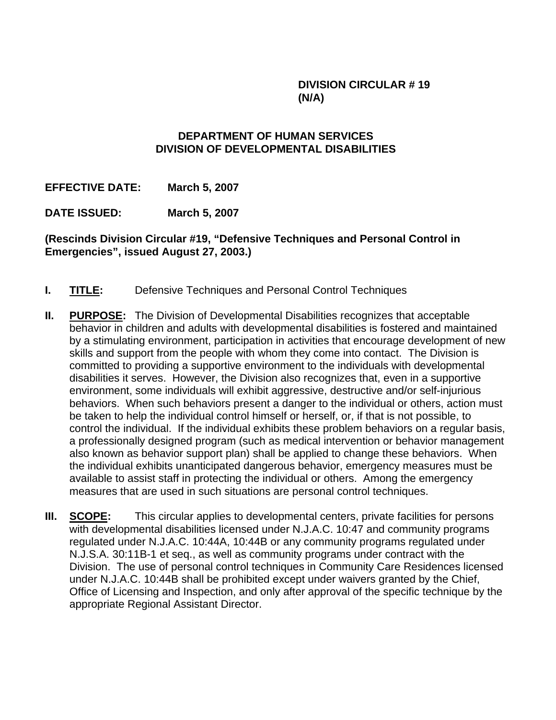### **DIVISION CIRCULAR # 19 (N/A)**

### **DEPARTMENT OF HUMAN SERVICES DIVISION OF DEVELOPMENTAL DISABILITIES**

**EFFECTIVE DATE: March 5, 2007** 

**DATE ISSUED: March 5, 2007** 

**(Rescinds Division Circular #19, "Defensive Techniques and Personal Control in Emergencies", issued August 27, 2003.)** 

- **I. TITLE:** Defensive Techniques and Personal Control Techniques
- **II. PURPOSE:** The Division of Developmental Disabilities recognizes that acceptable behavior in children and adults with developmental disabilities is fostered and maintained by a stimulating environment, participation in activities that encourage development of new skills and support from the people with whom they come into contact. The Division is committed to providing a supportive environment to the individuals with developmental disabilities it serves. However, the Division also recognizes that, even in a supportive environment, some individuals will exhibit aggressive, destructive and/or self-injurious behaviors. When such behaviors present a danger to the individual or others, action must be taken to help the individual control himself or herself, or, if that is not possible, to control the individual. If the individual exhibits these problem behaviors on a regular basis, a professionally designed program (such as medical intervention or behavior management also known as behavior support plan) shall be applied to change these behaviors. When the individual exhibits unanticipated dangerous behavior, emergency measures must be available to assist staff in protecting the individual or others. Among the emergency measures that are used in such situations are personal control techniques.
- **III. SCOPE:** This circular applies to developmental centers, private facilities for persons with developmental disabilities licensed under N.J.A.C. 10:47 and community programs regulated under N.J.A.C. 10:44A, 10:44B or any community programs regulated under N.J.S.A. 30:11B-1 et seq., as well as community programs under contract with the Division. The use of personal control techniques in Community Care Residences licensed under N.J.A.C. 10:44B shall be prohibited except under waivers granted by the Chief, Office of Licensing and Inspection, and only after approval of the specific technique by the appropriate Regional Assistant Director.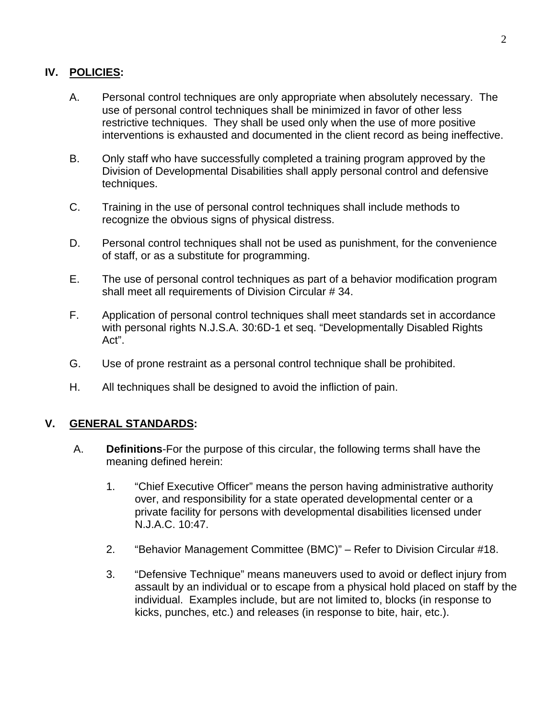### **IV. POLICIES:**

- A. Personal control techniques are only appropriate when absolutely necessary. The use of personal control techniques shall be minimized in favor of other less restrictive techniques. They shall be used only when the use of more positive interventions is exhausted and documented in the client record as being ineffective.
- B. Only staff who have successfully completed a training program approved by the Division of Developmental Disabilities shall apply personal control and defensive techniques.
- C. Training in the use of personal control techniques shall include methods to recognize the obvious signs of physical distress.
- D. Personal control techniques shall not be used as punishment, for the convenience of staff, or as a substitute for programming.
- E. The use of personal control techniques as part of a behavior modification program shall meet all requirements of Division Circular # 34.
- F. Application of personal control techniques shall meet standards set in accordance with personal rights N.J.S.A. 30:6D-1 et seq. "Developmentally Disabled Rights Act".
- G. Use of prone restraint as a personal control technique shall be prohibited.
- H. All techniques shall be designed to avoid the infliction of pain.

# **V. GENERAL STANDARDS:**

- A. **Definitions**-For the purpose of this circular, the following terms shall have the meaning defined herein:
	- 1. "Chief Executive Officer" means the person having administrative authority over, and responsibility for a state operated developmental center or a private facility for persons with developmental disabilities licensed under N.J.A.C. 10:47.
	- 2. "Behavior Management Committee (BMC)" Refer to Division Circular #18.
	- 3. "Defensive Technique" means maneuvers used to avoid or deflect injury from assault by an individual or to escape from a physical hold placed on staff by the individual. Examples include, but are not limited to, blocks (in response to kicks, punches, etc.) and releases (in response to bite, hair, etc.).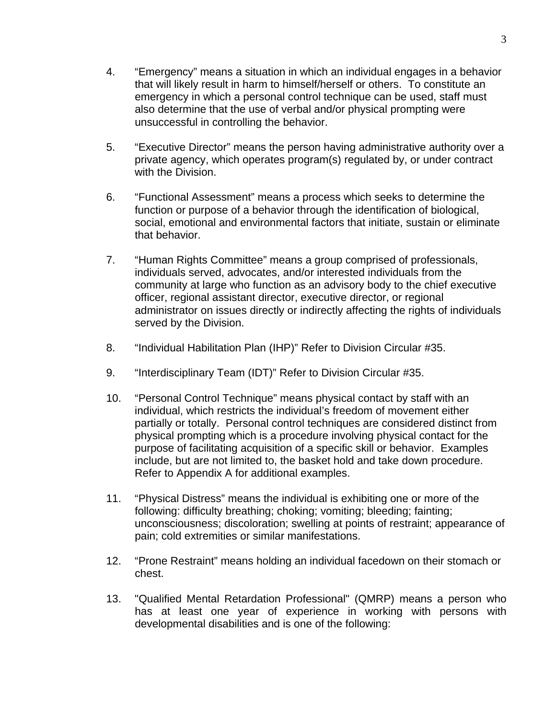- 4. "Emergency" means a situation in which an individual engages in a behavior that will likely result in harm to himself/herself or others. To constitute an emergency in which a personal control technique can be used, staff must also determine that the use of verbal and/or physical prompting were unsuccessful in controlling the behavior.
- 5. "Executive Director" means the person having administrative authority over a private agency, which operates program(s) regulated by, or under contract with the Division.
- 6. "Functional Assessment" means a process which seeks to determine the function or purpose of a behavior through the identification of biological, social, emotional and environmental factors that initiate, sustain or eliminate that behavior.
- 7. "Human Rights Committee" means a group comprised of professionals, individuals served, advocates, and/or interested individuals from the community at large who function as an advisory body to the chief executive officer, regional assistant director, executive director, or regional administrator on issues directly or indirectly affecting the rights of individuals served by the Division.
- 8. "Individual Habilitation Plan (IHP)" Refer to Division Circular #35.
- 9. "Interdisciplinary Team (IDT)" Refer to Division Circular #35.
- 10. "Personal Control Technique" means physical contact by staff with an individual, which restricts the individual's freedom of movement either partially or totally. Personal control techniques are considered distinct from physical prompting which is a procedure involving physical contact for the purpose of facilitating acquisition of a specific skill or behavior. Examples include, but are not limited to, the basket hold and take down procedure. Refer to Appendix A for additional examples.
- 11. "Physical Distress" means the individual is exhibiting one or more of the following: difficulty breathing; choking; vomiting; bleeding; fainting; unconsciousness; discoloration; swelling at points of restraint; appearance of pain; cold extremities or similar manifestations.
- 12. "Prone Restraint" means holding an individual facedown on their stomach or chest.
- 13. "Qualified Mental Retardation Professional" (QMRP) means a person who has at least one year of experience in working with persons with developmental disabilities and is one of the following: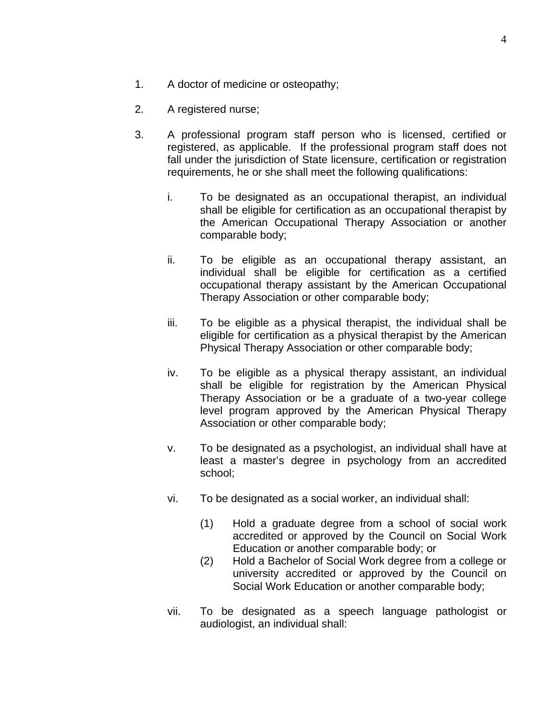- 1. A doctor of medicine or osteopathy;
- 2. A registered nurse;
- 3. A professional program staff person who is licensed, certified or registered, as applicable. If the professional program staff does not fall under the jurisdiction of State licensure, certification or registration requirements, he or she shall meet the following qualifications:
	- i. To be designated as an occupational therapist, an individual shall be eligible for certification as an occupational therapist by the American Occupational Therapy Association or another comparable body;
	- ii. To be eligible as an occupational therapy assistant, an individual shall be eligible for certification as a certified occupational therapy assistant by the American Occupational Therapy Association or other comparable body;
	- iii. To be eligible as a physical therapist, the individual shall be eligible for certification as a physical therapist by the American Physical Therapy Association or other comparable body;
	- iv. To be eligible as a physical therapy assistant, an individual shall be eligible for registration by the American Physical Therapy Association or be a graduate of a two-year college level program approved by the American Physical Therapy Association or other comparable body;
	- v. To be designated as a psychologist, an individual shall have at least a master's degree in psychology from an accredited school;
	- vi. To be designated as a social worker, an individual shall:
		- (1) Hold a graduate degree from a school of social work accredited or approved by the Council on Social Work Education or another comparable body; or
		- (2) Hold a Bachelor of Social Work degree from a college or university accredited or approved by the Council on Social Work Education or another comparable body;
	- vii. To be designated as a speech language pathologist or audiologist, an individual shall: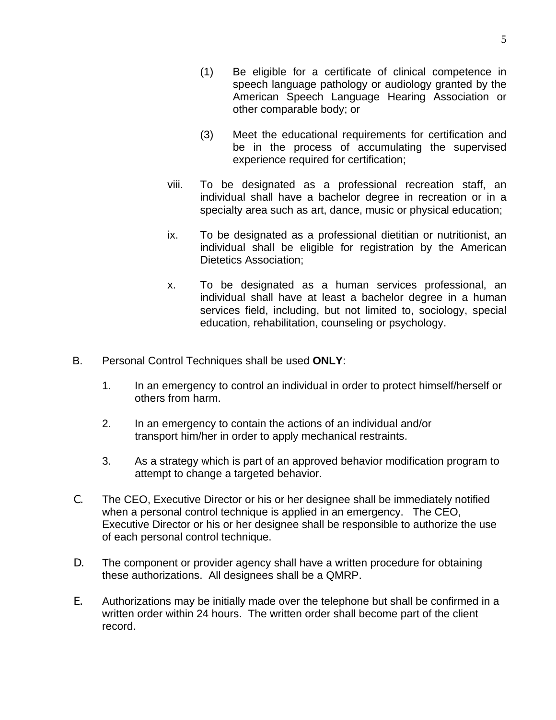- (1) Be eligible for a certificate of clinical competence in speech language pathology or audiology granted by the American Speech Language Hearing Association or other comparable body; or
- (3) Meet the educational requirements for certification and be in the process of accumulating the supervised experience required for certification;
- viii. To be designated as a professional recreation staff, an individual shall have a bachelor degree in recreation or in a specialty area such as art, dance, music or physical education;
- ix. To be designated as a professional dietitian or nutritionist, an individual shall be eligible for registration by the American Dietetics Association;
- x. To be designated as a human services professional, an individual shall have at least a bachelor degree in a human services field, including, but not limited to, sociology, special education, rehabilitation, counseling or psychology.
- B. Personal Control Techniques shall be used **ONLY**:
	- 1. In an emergency to control an individual in order to protect himself/herself or others from harm.
	- 2. In an emergency to contain the actions of an individual and/or transport him/her in order to apply mechanical restraints.
	- 3. As a strategy which is part of an approved behavior modification program to attempt to change a targeted behavior.
- C. The CEO, Executive Director or his or her designee shall be immediately notified when a personal control technique is applied in an emergency. The CEO, Executive Director or his or her designee shall be responsible to authorize the use of each personal control technique.
- D. The component or provider agency shall have a written procedure for obtaining these authorizations. All designees shall be a QMRP.
- E. Authorizations may be initially made over the telephone but shall be confirmed in a written order within 24 hours. The written order shall become part of the client record.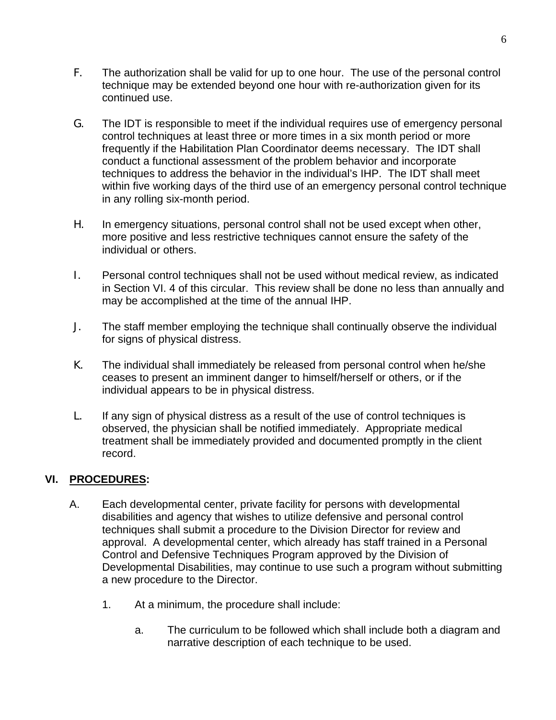- F. The authorization shall be valid for up to one hour. The use of the personal control technique may be extended beyond one hour with re-authorization given for its continued use.
- G. The IDT is responsible to meet if the individual requires use of emergency personal control techniques at least three or more times in a six month period or more frequently if the Habilitation Plan Coordinator deems necessary. The IDT shall conduct a functional assessment of the problem behavior and incorporate techniques to address the behavior in the individual's IHP. The IDT shall meet within five working days of the third use of an emergency personal control technique in any rolling six-month period.
- H. In emergency situations, personal control shall not be used except when other, more positive and less restrictive techniques cannot ensure the safety of the individual or others.
- I. Personal control techniques shall not be used without medical review, as indicated in Section VI. 4 of this circular. This review shall be done no less than annually and may be accomplished at the time of the annual IHP.
- J. The staff member employing the technique shall continually observe the individual for signs of physical distress.
- K. The individual shall immediately be released from personal control when he/she ceases to present an imminent danger to himself/herself or others, or if the individual appears to be in physical distress.
- L. If any sign of physical distress as a result of the use of control techniques is observed, the physician shall be notified immediately. Appropriate medical treatment shall be immediately provided and documented promptly in the client record.

# **VI. PROCEDURES:**

- A. Each developmental center, private facility for persons with developmental disabilities and agency that wishes to utilize defensive and personal control techniques shall submit a procedure to the Division Director for review and approval. A developmental center, which already has staff trained in a Personal Control and Defensive Techniques Program approved by the Division of Developmental Disabilities, may continue to use such a program without submitting a new procedure to the Director.
	- 1. At a minimum, the procedure shall include:
		- a. The curriculum to be followed which shall include both a diagram and narrative description of each technique to be used.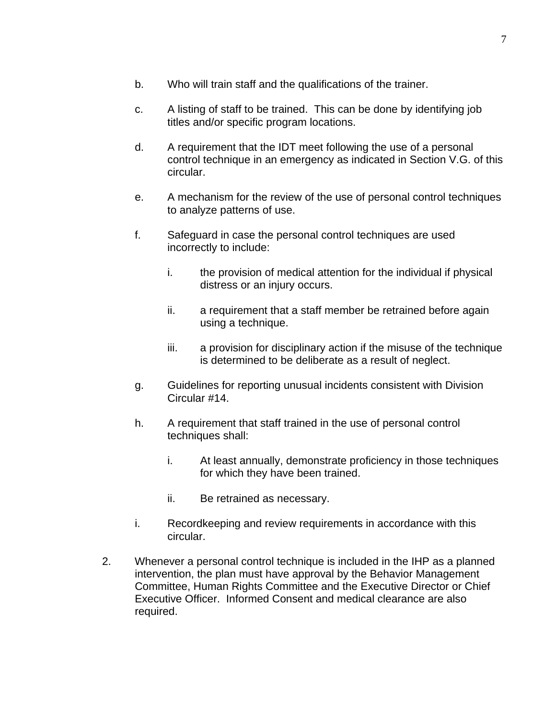- b. Who will train staff and the qualifications of the trainer.
- c. A listing of staff to be trained. This can be done by identifying job titles and/or specific program locations.
- d. A requirement that the IDT meet following the use of a personal control technique in an emergency as indicated in Section V.G. of this circular.
- e. A mechanism for the review of the use of personal control techniques to analyze patterns of use.
- f. Safeguard in case the personal control techniques are used incorrectly to include:
	- i. the provision of medical attention for the individual if physical distress or an injury occurs.
	- ii. a requirement that a staff member be retrained before again using a technique.
	- iii. a provision for disciplinary action if the misuse of the technique is determined to be deliberate as a result of neglect.
- g. Guidelines for reporting unusual incidents consistent with Division Circular #14.
- h. A requirement that staff trained in the use of personal control techniques shall:
	- i. At least annually, demonstrate proficiency in those techniques for which they have been trained.
	- ii. Be retrained as necessary.
- i. Recordkeeping and review requirements in accordance with this circular.
- 2. Whenever a personal control technique is included in the IHP as a planned intervention, the plan must have approval by the Behavior Management Committee, Human Rights Committee and the Executive Director or Chief Executive Officer. Informed Consent and medical clearance are also required.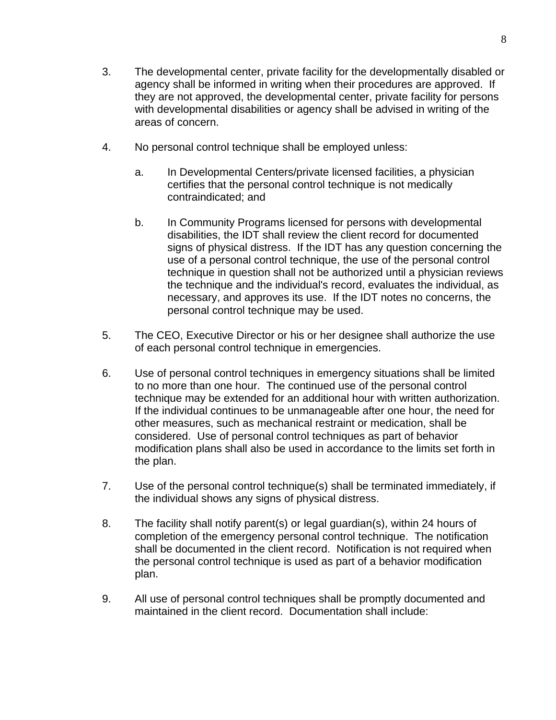- 3. The developmental center, private facility for the developmentally disabled or agency shall be informed in writing when their procedures are approved. If they are not approved, the developmental center, private facility for persons with developmental disabilities or agency shall be advised in writing of the areas of concern.
- 4. No personal control technique shall be employed unless:
	- a. In Developmental Centers/private licensed facilities, a physician certifies that the personal control technique is not medically contraindicated; and
	- b. In Community Programs licensed for persons with developmental disabilities, the IDT shall review the client record for documented signs of physical distress. If the IDT has any question concerning the use of a personal control technique, the use of the personal control technique in question shall not be authorized until a physician reviews the technique and the individual's record, evaluates the individual, as necessary, and approves its use. If the IDT notes no concerns, the personal control technique may be used.
- 5. The CEO, Executive Director or his or her designee shall authorize the use of each personal control technique in emergencies.
- 6. Use of personal control techniques in emergency situations shall be limited to no more than one hour. The continued use of the personal control technique may be extended for an additional hour with written authorization. If the individual continues to be unmanageable after one hour, the need for other measures, such as mechanical restraint or medication, shall be considered. Use of personal control techniques as part of behavior modification plans shall also be used in accordance to the limits set forth in the plan.
- 7. Use of the personal control technique(s) shall be terminated immediately, if the individual shows any signs of physical distress.
- 8. The facility shall notify parent(s) or legal guardian(s), within 24 hours of completion of the emergency personal control technique. The notification shall be documented in the client record. Notification is not required when the personal control technique is used as part of a behavior modification plan.
- 9. All use of personal control techniques shall be promptly documented and maintained in the client record. Documentation shall include: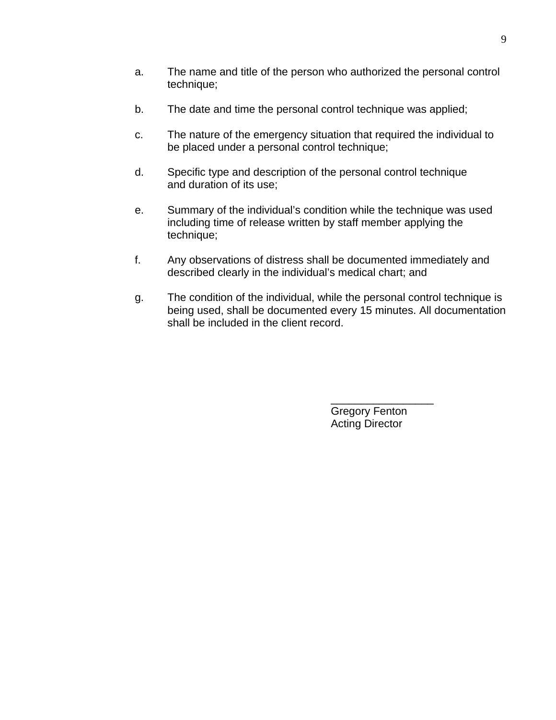- a. The name and title of the person who authorized the personal control technique;
- b. The date and time the personal control technique was applied;
- c. The nature of the emergency situation that required the individual to be placed under a personal control technique;
- d. Specific type and description of the personal control technique and duration of its use;
- e. Summary of the individual's condition while the technique was used including time of release written by staff member applying the technique;
- f. Any observations of distress shall be documented immediately and described clearly in the individual's medical chart; and
- g. The condition of the individual, while the personal control technique is being used, shall be documented every 15 minutes. All documentation shall be included in the client record.

 $\mathcal{L}_\text{max}$  , which is a set of the set of the set of the set of the set of the set of the set of the set of the set of the set of the set of the set of the set of the set of the set of the set of the set of the set of Gregory Fenton Acting Director